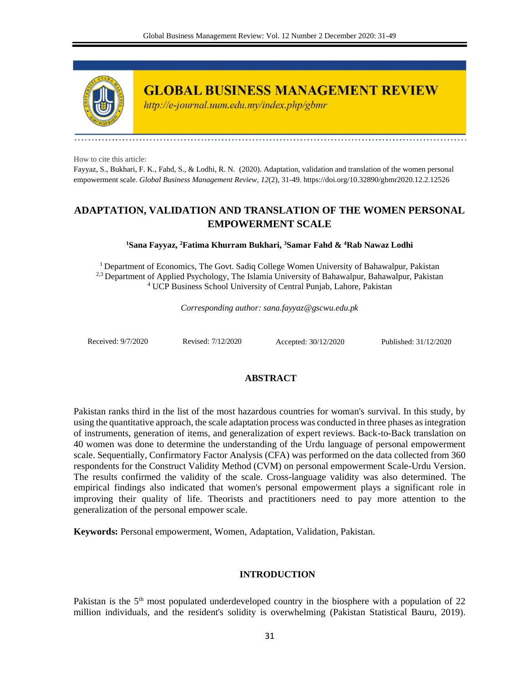

**GLOBAL BUSINESS MANAGEMENT REVIEW** 

http://e-journal.uum.edu.my/index.php/gbmr

How to cite this article:

Fayyaz, S., Bukhari, F. K., Fahd, S., & Lodhi, R. N. (2020). Adaptation, validation and translation of the women personal empowerment scale. *Global Business Management Review, 12*(2), 31-49. https://doi.org/10.32890/gbmr2020.12.2.12526

# **ADAPTATION, VALIDATION AND TRANSLATION OF THE WOMEN PERSONAL EMPOWERMENT SCALE**

# **<sup>1</sup>Sana Fayyaz, <sup>2</sup>Fatima Khurram Bukhari, <sup>3</sup>Samar Fahd & <sup>4</sup>Rab Nawaz Lodhi**

<sup>1</sup> Department of Economics, The Govt. Sadiq College Women University of Bahawalpur, Pakistan <sup>2,3</sup> Department of Applied Psychology, The Islamia University of Bahawalpur, Bahawalpur, Pakistan <sup>4</sup> UCP Business School University of Central Punjab, Lahore, Pakistan

*Corresponding author: sana.fayyaz@gscwu.edu.pk* 

Received: 9/7/2020 Revised: 7/12/2020 Accepted: 30/12/2020 Published: 31/12/2020

# **ABSTRACT**

Pakistan ranks third in the list of the most hazardous countries for woman's survival. In this study, by using the quantitative approach, the scale adaptation process was conducted in three phases as integration of instruments, generation of items, and generalization of expert reviews. Back-to-Back translation on 40 women was done to determine the understanding of the Urdu language of personal empowerment scale. Sequentially, Confirmatory Factor Analysis (CFA) was performed on the data collected from 360 respondents for the Construct Validity Method (CVM) on personal empowerment Scale-Urdu Version. The results confirmed the validity of the scale. Cross-language validity was also determined. The empirical findings also indicated that women's personal empowerment plays a significant role in improving their quality of life. Theorists and practitioners need to pay more attention to the generalization of the personal empower scale.

**Keywords:** Personal empowerment, Women, Adaptation, Validation, Pakistan.

# **INTRODUCTION**

Pakistan is the  $5<sup>th</sup>$  most populated underdeveloped country in the biosphere with a population of 22 million individuals, and the resident's solidity is overwhelming (Pakistan Statistical Bauru, 2019).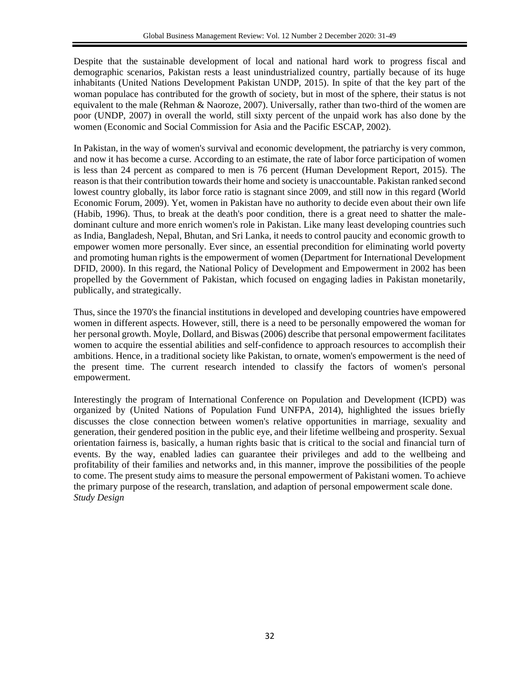Despite that the sustainable development of local and national hard work to progress fiscal and demographic scenarios, Pakistan rests a least unindustrialized country, partially because of its huge inhabitants (United Nations Development Pakistan UNDP, 2015). In spite of that the key part of the woman populace has contributed for the growth of society, but in most of the sphere, their status is not equivalent to the male (Rehman & Naoroze, 2007). Universally, rather than two-third of the women are poor (UNDP, 2007) in overall the world, still sixty percent of the unpaid work has also done by the women (Economic and Social Commission for Asia and the Pacific ESCAP, 2002).

In Pakistan, in the way of women's survival and economic development, the patriarchy is very common, and now it has become a curse. According to an estimate, the rate of labor force participation of women is less than 24 percent as compared to men is 76 percent (Human Development Report, 2015). The reason is that their contribution towards their home and society is unaccountable. Pakistan ranked second lowest country globally, its labor force ratio is stagnant since 2009, and still now in this regard (World Economic Forum, 2009). Yet, women in Pakistan have no authority to decide even about their own life (Habib, 1996). Thus, to break at the death's poor condition, there is a great need to shatter the maledominant culture and more enrich women's role in Pakistan. Like many least developing countries such as India, Bangladesh, Nepal, Bhutan, and Sri Lanka, it needs to control paucity and economic growth to empower women more personally. Ever since, an essential precondition for eliminating world poverty and promoting human rights is the empowerment of women (Department for International Development DFID, 2000). In this regard, the National Policy of Development and Empowerment in 2002 has been propelled by the Government of Pakistan, which focused on engaging ladies in Pakistan monetarily, publically, and strategically.

Thus, since the 1970's the financial institutions in developed and developing countries have empowered women in different aspects. However, still, there is a need to be personally empowered the woman for her personal growth. Moyle, Dollard, and Biswas (2006) describe that personal empowerment facilitates women to acquire the essential abilities and self-confidence to approach resources to accomplish their ambitions. Hence, in a traditional society like Pakistan, to ornate, women's empowerment is the need of the present time. The current research intended to classify the factors of women's personal empowerment.

Interestingly the program of International Conference on Population and Development (ICPD) was organized by (United Nations of Population Fund UNFPA, 2014), highlighted the issues briefly discusses the close connection between women's relative opportunities in marriage, sexuality and generation, their gendered position in the public eye, and their lifetime wellbeing and prosperity. Sexual orientation fairness is, basically, a human rights basic that is critical to the social and financial turn of events. By the way, enabled ladies can guarantee their privileges and add to the wellbeing and profitability of their families and networks and, in this manner, improve the possibilities of the people to come. The present study aims to measure the personal empowerment of Pakistani women. To achieve the primary purpose of the research, translation, and adaption of personal empowerment scale done. *Study Design*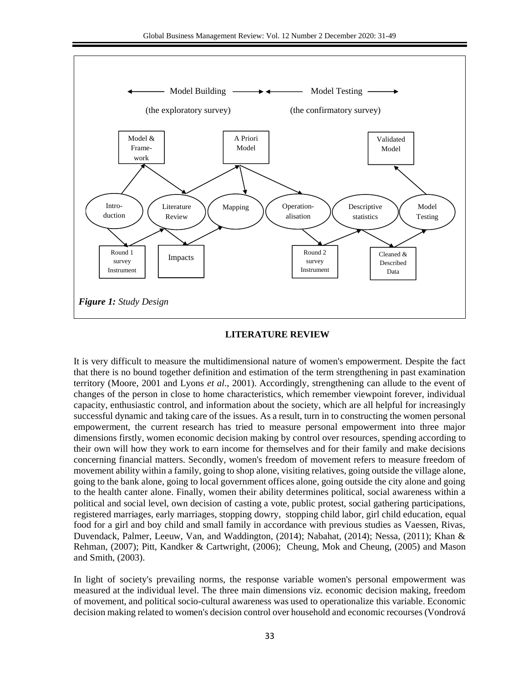

#### **LITERATURE REVIEW**

It is very difficult to measure the multidimensional nature of women's empowerment. Despite the fact that there is no bound together definition and estimation of the term strengthening in past examination territory (Moore, 2001 and Lyons *et al*., 2001). Accordingly, strengthening can allude to the event of changes of the person in close to home characteristics, which remember viewpoint forever, individual capacity, enthusiastic control, and information about the society, which are all helpful for increasingly successful dynamic and taking care of the issues. As a result, turn in to constructing the women personal empowerment, the current research has tried to measure personal empowerment into three major dimensions firstly, women economic decision making by control over resources, spending according to their own will how they work to earn income for themselves and for their family and make decisions concerning financial matters. Secondly, women's freedom of movement refers to measure freedom of movement ability within a family, going to shop alone, visiting relatives, going outside the village alone, going to the bank alone, going to local government offices alone, going outside the city alone and going to the health canter alone. Finally, women their ability determines political, social awareness within a political and social level, own decision of casting a vote, public protest, social gathering participations, registered marriages, early marriages, stopping dowry, stopping child labor, girl child education, equal food for a girl and boy child and small family in accordance with previous studies as Vaessen, Rivas, Duvendack, Palmer, Leeuw, Van, and Waddington, (2014); Nabahat, (2014); Nessa, (2011); Khan & Rehman, (2007); Pitt, Kandker & Cartwright, (2006); Cheung, Mok and Cheung, (2005) and Mason and Smith, (2003).

In light of society's prevailing norms, the response variable women's personal empowerment was measured at the individual level. The three main dimensions viz. economic decision making, freedom of movement, and political socio-cultural awareness was used to operationalize this variable. Economic decision making related to women's decision control over household and economic recourses (Vondrová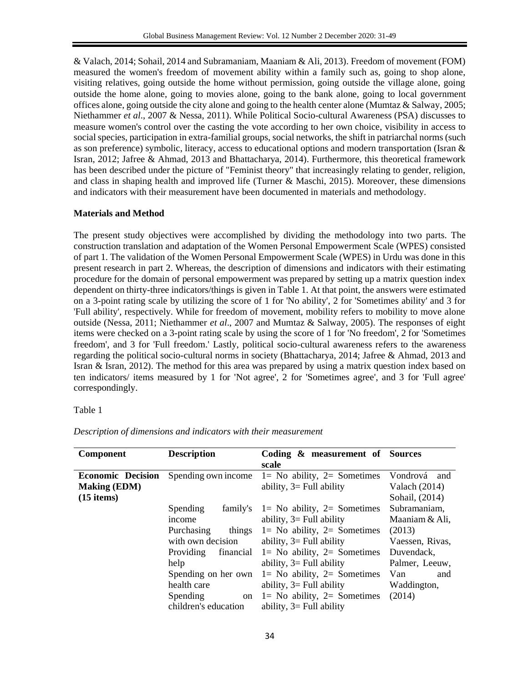& Valach, 2014; Sohail, 2014 and Subramaniam, Maaniam & Ali, 2013). Freedom of movement (FOM) measured the women's freedom of movement ability within a family such as, going to shop alone, visiting relatives, going outside the home without permission, going outside the village alone, going outside the home alone, going to movies alone, going to the bank alone, going to local government offices alone, going outside the city alone and going to the health center alone (Mumtaz & Salway, 2005; Niethammer *et al*., 2007 & Nessa, 2011). While Political Socio-cultural Awareness (PSA) discusses to measure women's control over the casting the vote according to her own choice, visibility in access to social species, participation in extra-familial groups, social networks, the shift in patriarchal norms (such as son preference) symbolic, literacy, access to educational options and modern transportation (Isran & Isran, 2012; Jafree & Ahmad, 2013 and Bhattacharya, 2014). Furthermore, this theoretical framework has been described under the picture of "Feminist theory" that increasingly relating to gender, religion, and class in shaping health and improved life (Turner & Maschi, 2015). Moreover, these dimensions and indicators with their measurement have been documented in materials and methodology.

# **Materials and Method**

The present study objectives were accomplished by dividing the methodology into two parts. The construction translation and adaptation of the Women Personal Empowerment Scale (WPES) consisted of part 1. The validation of the Women Personal Empowerment Scale (WPES) in Urdu was done in this present research in part 2. Whereas, the description of dimensions and indicators with their estimating procedure for the domain of personal empowerment was prepared by setting up a matrix question index dependent on thirty-three indicators/things is given in Table 1. At that point, the answers were estimated on a 3-point rating scale by utilizing the score of 1 for 'No ability', 2 for 'Sometimes ability' and 3 for 'Full ability', respectively. While for freedom of movement, mobility refers to mobility to move alone outside (Nessa, 2011; Niethammer *et al*., 2007 and Mumtaz & Salway, 2005). The responses of eight items were checked on a 3-point rating scale by using the score of 1 for 'No freedom', 2 for 'Sometimes freedom', and 3 for 'Full freedom.' Lastly, political socio-cultural awareness refers to the awareness regarding the political socio-cultural norms in society (Bhattacharya, 2014; Jafree & Ahmad, 2013 and Isran & Isran, 2012). The method for this area was prepared by using a matrix question index based on ten indicators/ items measured by 1 for 'Not agree', 2 for 'Sometimes agree', and 3 for 'Full agree' correspondingly.

# Table 1

| Component                                                       | <b>Description</b>                                                                                                                                                                | Coding & measurement of Sources<br>scale                                                                                                                                                                                                                                                                                                                |                                                                                                                                    |
|-----------------------------------------------------------------|-----------------------------------------------------------------------------------------------------------------------------------------------------------------------------------|---------------------------------------------------------------------------------------------------------------------------------------------------------------------------------------------------------------------------------------------------------------------------------------------------------------------------------------------------------|------------------------------------------------------------------------------------------------------------------------------------|
| <b>Economic Decision</b><br><b>Making (EDM)</b><br>$(15$ items) | Spending own income                                                                                                                                                               | $1 = No$ ability, $2 = Sometimes$<br>ability, $3 =$ Full ability                                                                                                                                                                                                                                                                                        | Vondrová and<br>Valach $(2014)$<br>Sohail, (2014)                                                                                  |
|                                                                 | Spending<br>income<br>things<br>Purchasing<br>with own decision<br>Providing<br>financial<br>help<br>Spending on her own<br>health care<br>Spending<br>on<br>children's education | family's $1 = No$ ability, $2 = Sometimes$<br>ability, $3 =$ Full ability<br>$1 = No$ ability, $2 = Sometimes$<br>ability, $3 =$ Full ability<br>$1 = No$ ability, $2 = Sometimes$<br>ability, $3 =$ Full ability<br>$1=$ No ability, $2=$ Sometimes<br>ability, $3 =$ Full ability<br>$1 = No$ ability, $2 = Sometimes$<br>ability, $3 =$ Full ability | Subramaniam,<br>Maaniam & Ali,<br>(2013)<br>Vaessen, Rivas,<br>Duvendack,<br>Palmer, Leeuw,<br>Van<br>and<br>Waddington,<br>(2014) |

*Description of dimensions and indicators with their measurement*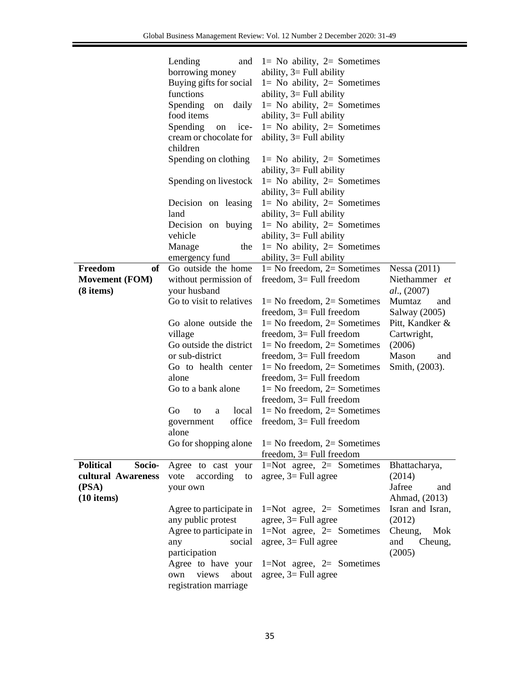|                            | Lending<br>and           | $1 = No$ ability, $2 = Sometimes$                         |                  |
|----------------------------|--------------------------|-----------------------------------------------------------|------------------|
|                            | borrowing money          | ability, $3 =$ Full ability                               |                  |
|                            | Buying gifts for social  | $1 = No$ ability, $2 = Sometimes$                         |                  |
|                            | functions                | ability, $3 =$ Full ability                               |                  |
|                            | Spending<br>daily<br>on  | $l = No$ ability, $2 = Sometimes$                         |                  |
|                            | food items               | ability, $3 =$ Full ability                               |                  |
|                            | Spending<br>ice-<br>on   | $1 = No$ ability, $2 = Sometimes$                         |                  |
|                            | cream or chocolate for   | ability, $3 =$ Full ability                               |                  |
|                            | children                 |                                                           |                  |
|                            | Spending on clothing     | $1 = No$ ability, $2 = Sometimes$                         |                  |
|                            |                          | ability, $3 =$ Full ability                               |                  |
|                            | Spending on livestock    | $1 = No$ ability, $2 = Sometimes$                         |                  |
|                            |                          | ability, $3 =$ Full ability                               |                  |
|                            | Decision on leasing      | $l = No$ ability, $2 = Sometimes$                         |                  |
|                            | land                     | ability, $3 =$ Full ability                               |                  |
|                            | Decision on buying       | $1 = No$ ability, $2 = Sometimes$                         |                  |
|                            | vehicle                  | ability, $3 =$ Full ability                               |                  |
|                            | Manage<br>the            | $1 = No$ ability, $2 = Sometimes$                         |                  |
|                            | emergency fund           | ability, $3 =$ Full ability                               |                  |
| Freedom<br>of              | Go outside the home      | $1 = No$ freedom, $2 = Sometimes$                         | Nessa $(2011)$   |
| <b>Movement (FOM)</b>      | without permission of    | freedom, $3=$ Full freedom                                | Niethammer et    |
| (8 items)                  | your husband             |                                                           | al., (2007)      |
|                            | Go to visit to relatives | $1 = No$ freedom, $2 = Sometimes$                         | Mumtaz<br>and    |
|                            |                          | freedom, $3=$ Full freedom                                | Salway (2005)    |
|                            | Go alone outside the     | $1 = No$ freedom, $2 = Sometimes$                         | Pitt, Kandker &  |
|                            | village                  | freedom, $3=$ Full freedom                                | Cartwright,      |
|                            |                          | Go outside the district $1 = No$ freedom, $2 = Sometimes$ | (2006)           |
|                            | or sub-district          | freedom, $3=$ Full freedom                                | Mason<br>and     |
|                            | Go to health center      | $1 = No$ freedom, $2 = Sometimes$                         | Smith, (2003).   |
|                            | alone                    | freedom, $3=$ Full freedom                                |                  |
|                            | Go to a bank alone       | $1 = No$ freedom, $2 = Sometimes$                         |                  |
|                            |                          | freedom, $3=$ Full freedom                                |                  |
|                            | Go<br>to<br>a            | local $1 = No$ freedom, $2 = Sometimes$                   |                  |
|                            | government               | office freedom, $3 =$ Full freedom                        |                  |
|                            | alone                    |                                                           |                  |
|                            |                          | Go for shopping alone $1 = No$ freedom, $2 = Sometimes$   |                  |
|                            |                          | freedom, $3=$ Full freedom                                |                  |
| <b>Political</b><br>Socio- | Agree to cast your       | $1 = Not agree, 2 = Sometimes$                            | Bhattacharya,    |
| cultural Awareness         | according<br>vote<br>to  | agree, $3 =$ Full agree                                   | (2014)           |
| (PSA)                      | your own                 |                                                           | Jafree<br>and    |
| $(10$ items)               |                          |                                                           | Ahmad, (2013)    |
|                            | Agree to participate in  | 1=Not agree, $2=$ Sometimes                               | Isran and Isran, |
|                            | any public protest       | agree, $3 =$ Full agree                                   | (2012)           |
|                            | Agree to participate in  | $1 = Not$ agree, $2 =$ Sometimes                          | Cheung,<br>Mok   |
|                            | social<br>any            | agree, $3 =$ Full agree                                   | and<br>Cheung,   |
|                            | participation            |                                                           | (2005)           |
|                            | Agree to have your       | $1 = Not$ agree, $2 =$ Sometimes                          |                  |
|                            | views<br>about<br>own    | agree, $3 =$ Full agree                                   |                  |
|                            | registration marriage    |                                                           |                  |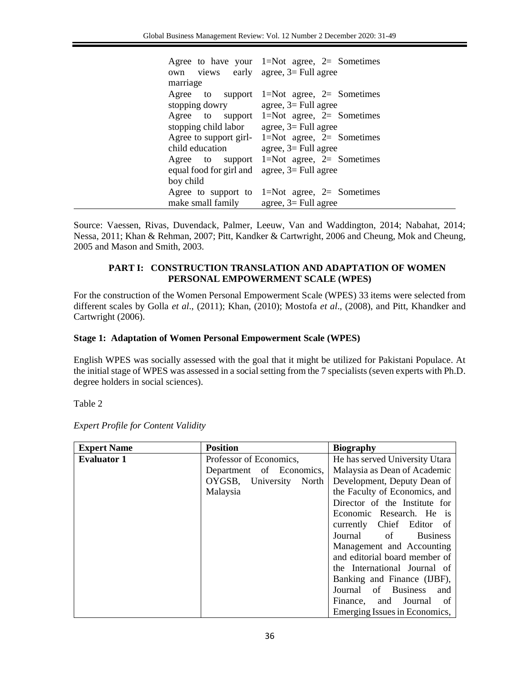| own views early agree, $3 =$ Full agree<br>marriage                                          | Agree to have your $1 = Not$ agree, $2 =$ Sometimes     |
|----------------------------------------------------------------------------------------------|---------------------------------------------------------|
|                                                                                              | Agree to support 1=Not agree, 2= Sometimes              |
| stopping dowry agree, $3 =$ Full agree<br>stopping child labor $\qquad$ agree, 3= Full agree | Agree to support 1=Not agree, $2=$ Sometimes            |
| child education $\qquad \qquad \text{agree, } 3 = \text{Full agree}$                         | Agree to support girl- $1 = Not$ agree, $2 =$ Sometimes |
| equal food for girl and $\Box$ agree, $3 =$ Full agree                                       | Agree to support 1=Not agree, $2=$ Sometimes            |
| boy child                                                                                    |                                                         |
| make small family agree, $3 =$ Full agree                                                    | Agree to support to 1=Not agree, 2= Sometimes           |

Source: Vaessen, Rivas, Duvendack, Palmer, Leeuw, Van and Waddington, 2014; Nabahat, 2014; Nessa, 2011; Khan & Rehman, 2007; Pitt, Kandker & Cartwright, 2006 and Cheung, Mok and Cheung, 2005 and Mason and Smith, 2003.

# **PART I: CONSTRUCTION TRANSLATION AND ADAPTATION OF WOMEN PERSONAL EMPOWERMENT SCALE (WPES)**

For the construction of the Women Personal Empowerment Scale (WPES) 33 items were selected from different scales by Golla *et al*., (2011); Khan, (2010); Mostofa *et al*., (2008), and Pitt, Khandker and Cartwright (2006).

### **Stage 1: Adaptation of Women Personal Empowerment Scale (WPES)**

English WPES was socially assessed with the goal that it might be utilized for Pakistani Populace. At the initial stage of WPES was assessed in a social setting from the 7 specialists (seven experts with Ph.D. degree holders in social sciences).

Table 2

| <b>Expert Name</b> | <b>Position</b>               | <b>Biography</b>               |  |
|--------------------|-------------------------------|--------------------------------|--|
| <b>Evaluator 1</b> | Professor of Economics,       | He has served University Utara |  |
|                    | Department of Economics,      | Malaysia as Dean of Academic   |  |
|                    | OYGSB, University<br>North    | Development, Deputy Dean of    |  |
|                    | Malaysia                      | the Faculty of Economics, and  |  |
|                    |                               | Director of the Institute for  |  |
|                    |                               | Economic Research. He is       |  |
|                    |                               | currently Chief Editor of      |  |
|                    |                               | Journal of<br><b>Business</b>  |  |
|                    | Management and Accounting     |                                |  |
|                    | and editorial board member of |                                |  |
|                    |                               | the International Journal of   |  |
|                    |                               | Banking and Finance (IJBF),    |  |
|                    | Journal of Business and       |                                |  |
|                    |                               | Finance, and Journal of        |  |
|                    |                               | Emerging Issues in Economics,  |  |

*Expert Profile for Content Validity*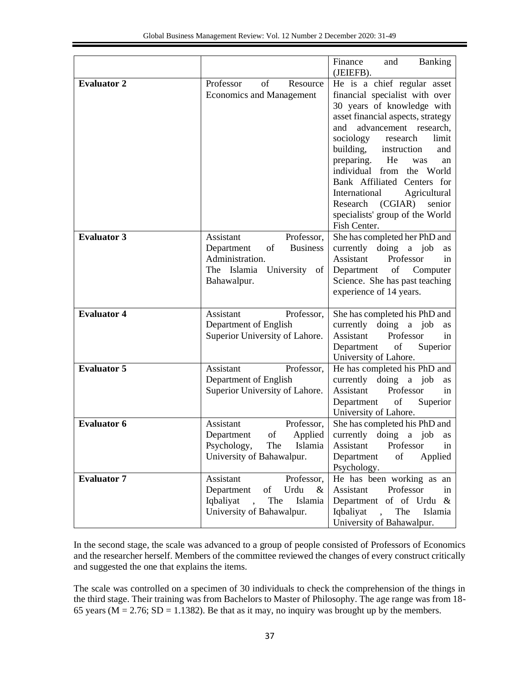|                    |                                                                                                                                                 | Finance<br><b>Banking</b><br>and<br>(JEIEFB).                                                                                                                                                                                                                                                                                                                                                                                                  |
|--------------------|-------------------------------------------------------------------------------------------------------------------------------------------------|------------------------------------------------------------------------------------------------------------------------------------------------------------------------------------------------------------------------------------------------------------------------------------------------------------------------------------------------------------------------------------------------------------------------------------------------|
| <b>Evaluator 2</b> | of<br>Professor<br>Resource<br><b>Economics and Management</b>                                                                                  | He is a chief regular asset<br>financial specialist with over<br>30 years of knowledge with<br>asset financial aspects, strategy<br>advancement research,<br>and<br>sociology<br>research<br>limit<br>building, instruction<br>and<br>preparing. He<br>was<br>an<br>individual from the World<br>Bank Affiliated Centers for<br>International<br>Agricultural<br>Research (CGIAR)<br>senior<br>specialists' group of the World<br>Fish Center. |
| <b>Evaluator 3</b> | Assistant<br>Professor,<br>Department<br>of<br><b>Business</b><br>Administration.<br>The Islamia University of<br>Bahawalpur.                   | She has completed her PhD and<br>currently doing a job<br>as<br>Professor<br>Assistant<br>in<br>Department of Computer<br>Science. She has past teaching<br>experience of 14 years.                                                                                                                                                                                                                                                            |
| <b>Evaluator 4</b> | Assistant<br>Professor,<br>Department of English<br>Superior University of Lahore.                                                              | She has completed his PhD and<br>currently doing a job<br>as<br>Assistant<br>Professor<br>in<br>Department<br>of<br>Superior<br>University of Lahore.                                                                                                                                                                                                                                                                                          |
| <b>Evaluator 5</b> | Assistant<br>Professor,<br>Department of English<br>Superior University of Lahore.                                                              | He has completed his PhD and<br>currently<br>doing a job<br>as<br>Assistant<br>Professor<br>in<br>Department<br>of<br>Superior<br>University of Lahore.                                                                                                                                                                                                                                                                                        |
| <b>Evaluator 6</b> | Assistant<br>Professor,<br>Applied<br>Department<br>οf<br>Psychology,<br>The<br>Islamia<br>University of Bahawalpur.                            | She has completed his PhD and<br>currently doing a job as<br>Professor<br>Assistant<br>in<br>of<br>Applied<br>Department<br>Psychology.                                                                                                                                                                                                                                                                                                        |
| <b>Evaluator 7</b> | Assistant<br>Professor,<br>Department<br>Urdu<br>of<br>$\&$<br>Iqbaliyat<br>The<br>Islamia<br>$\ddot{\phantom{a}}$<br>University of Bahawalpur. | He has been working as an<br>Assistant<br>Professor<br>in<br>Department of of Urdu $\&$<br>Iqbaliyat<br>The<br>$\mathbf{A}$<br>Islamia<br>University of Bahawalpur.                                                                                                                                                                                                                                                                            |

In the second stage, the scale was advanced to a group of people consisted of Professors of Economics and the researcher herself. Members of the committee reviewed the changes of every construct critically and suggested the one that explains the items.

The scale was controlled on a specimen of 30 individuals to check the comprehension of the things in the third stage. Their training was from Bachelors to Master of Philosophy. The age range was from 18- 65 years ( $M = 2.76$ ; SD = 1.1382). Be that as it may, no inquiry was brought up by the members.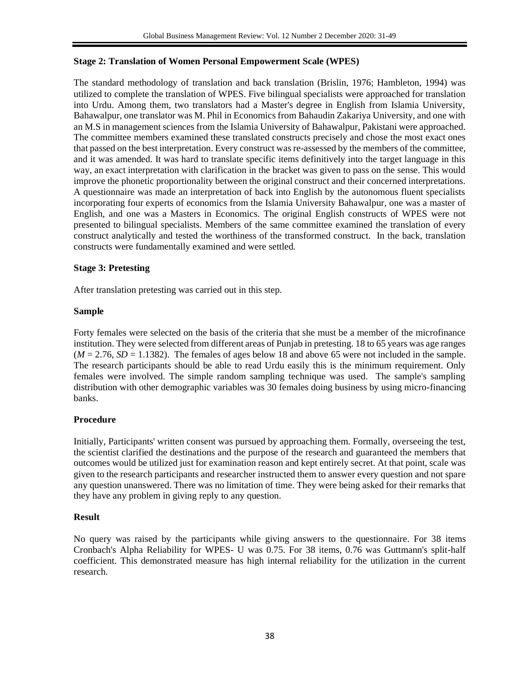# **Stage 2: Translation of Women Personal Empowerment Scale (WPES)**

The standard methodology of translation and back translation (Brislin, 1976; Hambleton, 1994) was utilized to complete the translation of WPES. Five bilingual specialists were approached for translation into Urdu. Among them, two translators had a Master's degree in English from Islamia University, Bahawalpur, one translator was M. Phil in Economics from Bahaudin Zakariya University, and one with an M.S in management sciences from the Islamia University of Bahawalpur, Pakistani were approached. The committee members examined these translated constructs precisely and chose the most exact ones that passed on the best interpretation. Every construct was re-assessed by the members of the committee, and it was amended. It was hard to translate specific items definitively into the target language in this way, an exact interpretation with clarification in the bracket was given to pass on the sense. This would improve the phonetic proportionality between the original construct and their concerned interpretations. A questionnaire was made an interpretation of back into English by the autonomous fluent specialists incorporating four experts of economics from the Islamia University Bahawalpur, one was a master of English, and one was a Masters in Economics. The original English constructs of WPES were not presented to bilingual specialists. Members of the same committee examined the translation of every construct analytically and tested the worthiness of the transformed construct. In the back, translation constructs were fundamentally examined and were settled.

# **Stage 3: Pretesting**

After translation pretesting was carried out in this step.

# **Sample**

Forty females were selected on the basis of the criteria that she must be a member of the microfinance institution. They were selected from different areas of Punjab in pretesting. 18 to 65 years was age ranges  $(M = 2.76, SD = 1.1382)$ . The females of ages below 18 and above 65 were not included in the sample. The research participants should be able to read Urdu easily this is the minimum requirement. Only females were involved. The simple random sampling technique was used. The sample's sampling distribution with other demographic variables was 30 females doing business by using micro-financing banks.

# **Procedure**

Initially, Participants' written consent was pursued by approaching them. Formally, overseeing the test, the scientist clarified the destinations and the purpose of the research and guaranteed the members that outcomes would be utilized just for examination reason and kept entirely secret. At that point, scale was given to the research participants and researcher instructed them to answer every question and not spare any question unanswered. There was no limitation of time. They were being asked for their remarks that they have any problem in giving reply to any question.

# **Result**

No query was raised by the participants while giving answers to the questionnaire. For 38 items Cronbach's Alpha Reliability for WPES- U was 0.75. For 38 items, 0.76 was Guttmann's split-half coefficient. This demonstrated measure has high internal reliability for the utilization in the current research.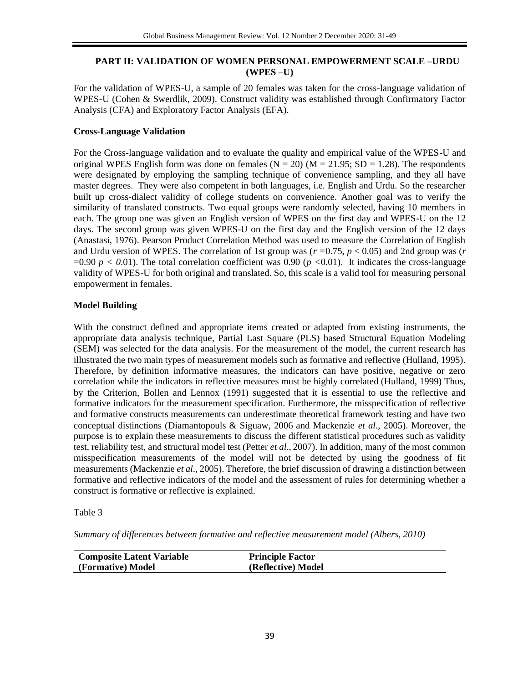# **PART II: VALIDATION OF WOMEN PERSONAL EMPOWERMENT SCALE –URDU (WPES –U)**

For the validation of WPES-U, a sample of 20 females was taken for the cross-language validation of WPES-U (Cohen & Swerdlik, 2009). Construct validity was established through Confirmatory Factor Analysis (CFA) and Exploratory Factor Analysis (EFA).

### **Cross-Language Validation**

For the Cross-language validation and to evaluate the quality and empirical value of the WPES-U and original WPES English form was done on females  $(N = 20)$   $(M = 21.95; SD = 1.28)$ . The respondents were designated by employing the sampling technique of convenience sampling, and they all have master degrees. They were also competent in both languages, i.e. English and Urdu. So the researcher built up cross-dialect validity of college students on convenience. Another goal was to verify the similarity of translated constructs. Two equal groups were randomly selected, having 10 members in each. The group one was given an English version of WPES on the first day and WPES-U on the 12 days. The second group was given WPES-U on the first day and the English version of the 12 days (Anastasi, 1976). Pearson Product Correlation Method was used to measure the Correlation of English and Urdu version of WPES. The correlation of 1st group was (*r =*0.75, *p* < 0.05) and 2nd group was (*r*  =0.90  $p < 0.01$ ). The total correlation coefficient was 0.90 ( $p < 0.01$ ). It indicates the cross-language validity of WPES-U for both original and translated. So, this scale is a valid tool for measuring personal empowerment in females.

# **Model Building**

With the construct defined and appropriate items created or adapted from existing instruments, the appropriate data analysis technique, Partial Last Square (PLS) based Structural Equation Modeling (SEM) was selected for the data analysis. For the measurement of the model, the current research has illustrated the two main types of measurement models such as formative and reflective (Hulland, 1995). Therefore, by definition informative measures, the indicators can have positive, negative or zero correlation while the indicators in reflective measures must be highly correlated (Hulland, 1999) Thus, by the Criterion, Bollen and Lennox (1991) suggested that it is essential to use the reflective and formative indicators for the measurement specification. Furthermore, the misspecification of reflective and formative constructs measurements can underestimate theoretical framework testing and have two conceptual distinctions (Diamantopouls & Siguaw, 2006 and Mackenzie *et al*., 2005). Moreover, the purpose is to explain these measurements to discuss the different statistical procedures such as validity test, reliability test, and structural model test (Petter *et al*., 2007). In addition, many of the most common misspecification measurements of the model will not be detected by using the goodness of fit measurements (Mackenzie *et al*., 2005). Therefore, the brief discussion of drawing a distinction between formative and reflective indicators of the model and the assessment of rules for determining whether a construct is formative or reflective is explained.

Table 3

*Summary of differences between formative and reflective measurement model (Albers, 2010)*

| <b>Composite Latent Variable</b> | <b>Principle Factor</b> |
|----------------------------------|-------------------------|
| (Formative) Model                | (Reflective) Model      |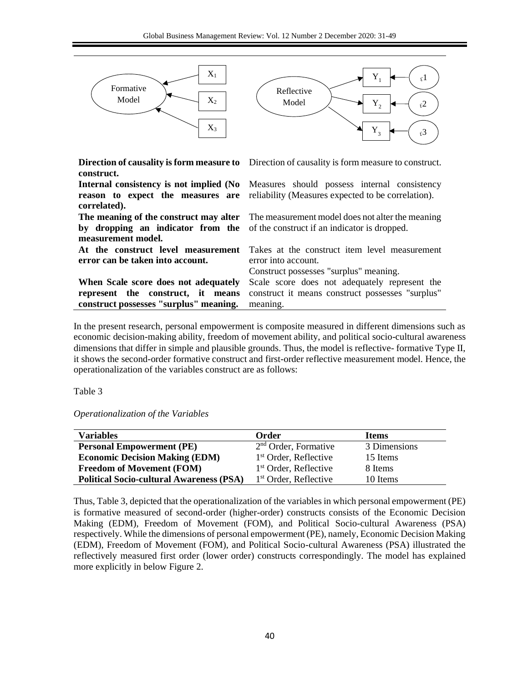

In the present research, personal empowerment is composite measured in different dimensions such as economic decision-making ability, freedom of movement ability, and political socio-cultural awareness dimensions that differ in simple and plausible grounds. Thus, the model is reflective- formative Type II, it shows the second-order formative construct and first-order reflective measurement model. Hence, the operationalization of the variables construct are as follows:

Table 3

*Operationalization of the Variables*

| Variables                                       | <b>Order</b>                     | <b>Items</b> |
|-------------------------------------------------|----------------------------------|--------------|
| <b>Personal Empowerment (PE)</b>                | 2 <sup>nd</sup> Order, Formative | 3 Dimensions |
| <b>Economic Decision Making (EDM)</b>           | 1 <sup>st</sup> Order, Reference | 15 Items     |
| <b>Freedom of Movement (FOM)</b>                | $1st$ Order, Reflective          | 8 Items      |
| <b>Political Socio-cultural Awareness (PSA)</b> | $1st$ Order, Reflective          | 10 Items     |

Thus, Table 3, depicted that the operationalization of the variables in which personal empowerment (PE) is formative measured of second-order (higher-order) constructs consists of the Economic Decision Making (EDM), Freedom of Movement (FOM), and Political Socio-cultural Awareness (PSA) respectively. While the dimensions of personal empowerment (PE), namely, Economic Decision Making (EDM), Freedom of Movement (FOM), and Political Socio-cultural Awareness (PSA) illustrated the reflectively measured first order (lower order) constructs correspondingly. The model has explained more explicitly in below Figure 2.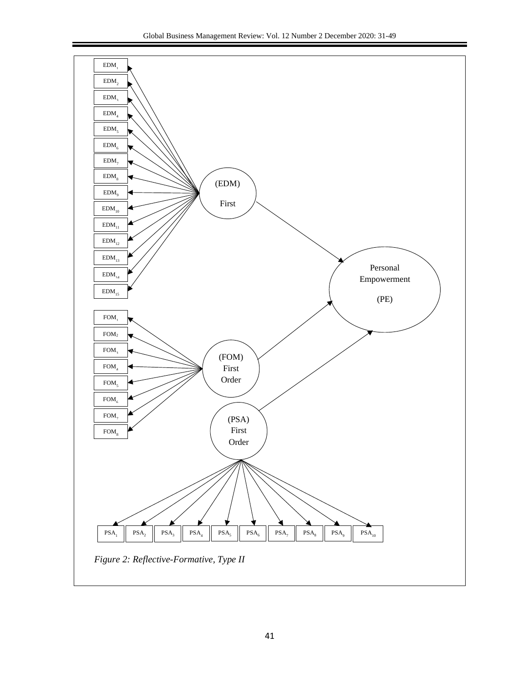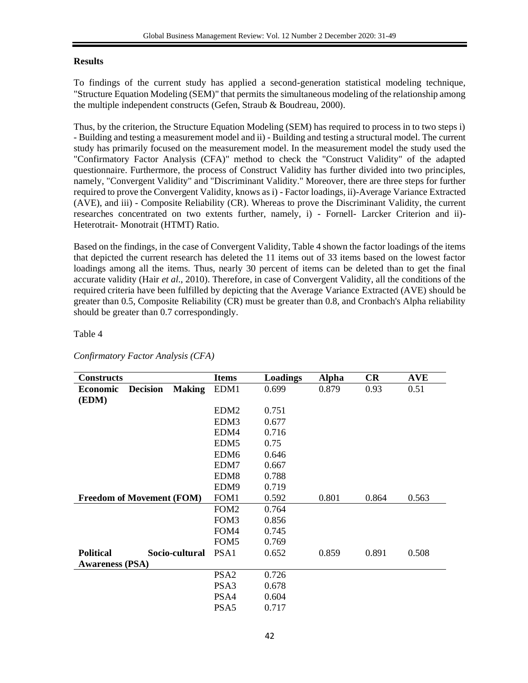# **Results**

To findings of the current study has applied a second-generation statistical modeling technique, "Structure Equation Modeling (SEM)" that permits the simultaneous modeling of the relationship among the multiple independent constructs (Gefen, Straub & Boudreau, 2000).

Thus, by the criterion, the Structure Equation Modeling (SEM) has required to process in to two steps i) - Building and testing a measurement model and ii) - Building and testing a structural model. The current study has primarily focused on the measurement model. In the measurement model the study used the "Confirmatory Factor Analysis (CFA)" method to check the "Construct Validity" of the adapted questionnaire. Furthermore, the process of Construct Validity has further divided into two principles, namely, "Convergent Validity" and "Discriminant Validity." Moreover, there are three steps for further required to prove the Convergent Validity, knows as i) - Factor loadings, ii)-Average Variance Extracted (AVE), and iii) - Composite Reliability (CR). Whereas to prove the Discriminant Validity, the current researches concentrated on two extents further, namely, i) - Fornell- Larcker Criterion and ii)- Heterotrait- Monotrait (HTMT) Ratio.

Based on the findings, in the case of Convergent Validity, Table 4 shown the factor loadings of the items that depicted the current research has deleted the 11 items out of 33 items based on the lowest factor loadings among all the items. Thus, nearly 30 percent of items can be deleted than to get the final accurate validity (Hair *et al*., 2010). Therefore, in case of Convergent Validity, all the conditions of the required criteria have been fulfilled by depicting that the Average Variance Extracted (AVE) should be greater than 0.5, Composite Reliability (CR) must be greater than 0.8, and Cronbach's Alpha reliability should be greater than 0.7 correspondingly.

# Table 4

| <b>Constructs</b>                |                 |                | <b>Items</b>     | Loadings | <b>Alpha</b> | CR    | <b>AVE</b> |
|----------------------------------|-----------------|----------------|------------------|----------|--------------|-------|------------|
| <b>Economic</b>                  | <b>Decision</b> | <b>Making</b>  | EDM1             | 0.699    | 0.879        | 0.93  | 0.51       |
| (EDM)                            |                 |                |                  |          |              |       |            |
|                                  |                 |                | EDM <sub>2</sub> | 0.751    |              |       |            |
|                                  |                 |                | EDM <sub>3</sub> | 0.677    |              |       |            |
|                                  |                 |                | EDM4             | 0.716    |              |       |            |
|                                  |                 |                | EDM <sub>5</sub> | 0.75     |              |       |            |
|                                  |                 |                | EDM <sub>6</sub> | 0.646    |              |       |            |
|                                  |                 |                | EDM7             | 0.667    |              |       |            |
|                                  |                 |                | EDM <sub>8</sub> | 0.788    |              |       |            |
|                                  |                 |                | EDM9             | 0.719    |              |       |            |
| <b>Freedom of Movement (FOM)</b> |                 |                | FOM1             | 0.592    | 0.801        | 0.864 | 0.563      |
|                                  |                 |                | FOM <sub>2</sub> | 0.764    |              |       |            |
|                                  |                 |                | FOM3             | 0.856    |              |       |            |
|                                  |                 |                | FOM4             | 0.745    |              |       |            |
|                                  |                 |                | FOM <sub>5</sub> | 0.769    |              |       |            |
| <b>Political</b>                 |                 | Socio-cultural | PSA <sub>1</sub> | 0.652    | 0.859        | 0.891 | 0.508      |
| <b>Awareness (PSA)</b>           |                 |                |                  |          |              |       |            |
|                                  |                 |                | PSA <sub>2</sub> | 0.726    |              |       |            |
|                                  |                 |                | PSA <sub>3</sub> | 0.678    |              |       |            |
|                                  |                 |                | PSA4             | 0.604    |              |       |            |
|                                  |                 |                | PSA <sub>5</sub> | 0.717    |              |       |            |

*Confirmatory Factor Analysis (CFA)*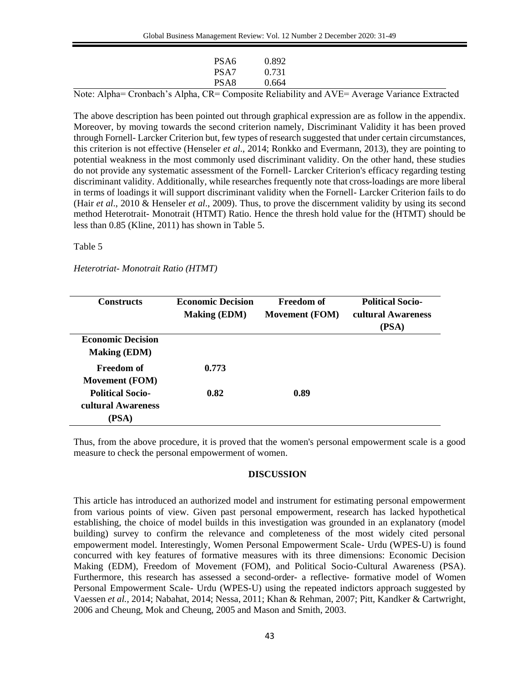|  |  |                  | المفاوية والمستحيل والمستحيل والمستحيل والمستحيل والمتحدث والمتحدث والمتحدث والمتحدث والمتحدث والمتحدث والمتحدث |  | $  -$ | the contract of the contract of the contract of the contract of the contract of |  |
|--|--|------------------|-----------------------------------------------------------------------------------------------------------------|--|-------|---------------------------------------------------------------------------------|--|
|  |  | PSA <sub>8</sub> | 0.664                                                                                                           |  |       |                                                                                 |  |
|  |  | PSA7             | 0.731                                                                                                           |  |       |                                                                                 |  |
|  |  | PSA <sub>6</sub> | 0.892                                                                                                           |  |       |                                                                                 |  |
|  |  |                  |                                                                                                                 |  |       |                                                                                 |  |

Note: Alpha= Cronbach's Alpha, CR= Composite Reliability and AVE= Average Variance Extracted

The above description has been pointed out through graphical expression are as follow in the appendix. Moreover, by moving towards the second criterion namely, Discriminant Validity it has been proved through Fornell- Larcker Criterion but, few types of research suggested that under certain circumstances, this criterion is not effective (Henseler *et al*., 2014; Ronkko and Evermann, 2013), they are pointing to potential weakness in the most commonly used discriminant validity. On the other hand, these studies do not provide any systematic assessment of the Fornell- Larcker Criterion's efficacy regarding testing discriminant validity. Additionally, while researches frequently note that cross-loadings are more liberal in terms of loadings it will support discriminant validity when the Fornell- Larcker Criterion fails to do (Hair *et al*., 2010 & Henseler *et al*., 2009). Thus, to prove the discernment validity by using its second method Heterotrait- Monotrait (HTMT) Ratio. Hence the thresh hold value for the (HTMT) should be less than 0.85 (Kline, 2011) has shown in Table 5.

### Table 5

#### *Heterotriat- Monotrait Ratio (HTMT)*

| <b>Constructs</b>                                      | <b>Economic Decision</b><br><b>Making (EDM)</b> | <b>Freedom of</b><br><b>Movement (FOM)</b> | <b>Political Socio-</b><br>cultural Awareness<br>(PSA) |
|--------------------------------------------------------|-------------------------------------------------|--------------------------------------------|--------------------------------------------------------|
| <b>Economic Decision</b><br><b>Making (EDM)</b>        |                                                 |                                            |                                                        |
| Freedom of<br><b>Movement (FOM)</b>                    | 0.773                                           |                                            |                                                        |
| <b>Political Socio-</b><br>cultural Awareness<br>(PSA) | 0.82                                            | 0.89                                       |                                                        |

Thus, from the above procedure, it is proved that the women's personal empowerment scale is a good measure to check the personal empowerment of women.

### **DISCUSSION**

This article has introduced an authorized model and instrument for estimating personal empowerment from various points of view. Given past personal empowerment, research has lacked hypothetical establishing, the choice of model builds in this investigation was grounded in an explanatory (model building) survey to confirm the relevance and completeness of the most widely cited personal empowerment model. Interestingly, Women Personal Empowerment Scale- Urdu (WPES-U) is found concurred with key features of formative measures with its three dimensions: Economic Decision Making (EDM), Freedom of Movement (FOM), and Political Socio-Cultural Awareness (PSA). Furthermore, this research has assessed a second-order- a reflective- formative model of Women Personal Empowerment Scale- Urdu (WPES-U) using the repeated indictors approach suggested by Vaessen *et al.,* 2014; Nabahat, 2014; Nessa, 2011; Khan & Rehman, 2007; Pitt, Kandker & Cartwright, 2006 and Cheung, Mok and Cheung, 2005 and Mason and Smith, 2003.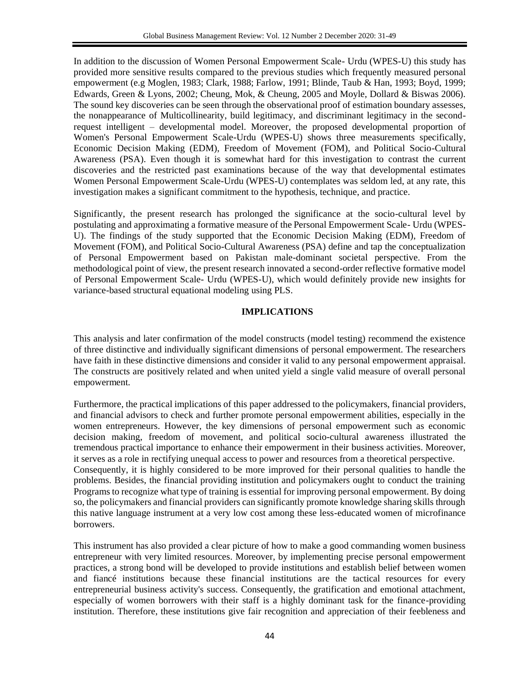In addition to the discussion of Women Personal Empowerment Scale- Urdu (WPES-U) this study has provided more sensitive results compared to the previous studies which frequently measured personal empowerment (e.g Moglen, 1983; Clark, 1988; Farlow, 1991; Blinde, Taub & Han, 1993; Boyd, 1999; Edwards, Green & Lyons, 2002; Cheung, Mok, & Cheung, 2005 and Moyle, Dollard & Biswas 2006). The sound key discoveries can be seen through the observational proof of estimation boundary assesses, the nonappearance of Multicollinearity, build legitimacy, and discriminant legitimacy in the secondrequest intelligent – developmental model. Moreover, the proposed developmental proportion of Women's Personal Empowerment Scale-Urdu (WPES-U) shows three measurements specifically, Economic Decision Making (EDM), Freedom of Movement (FOM), and Political Socio-Cultural Awareness (PSA). Even though it is somewhat hard for this investigation to contrast the current discoveries and the restricted past examinations because of the way that developmental estimates Women Personal Empowerment Scale-Urdu (WPES-U) contemplates was seldom led, at any rate, this investigation makes a significant commitment to the hypothesis, technique, and practice.

Significantly, the present research has prolonged the significance at the socio-cultural level by postulating and approximating a formative measure of the Personal Empowerment Scale- Urdu (WPES-U). The findings of the study supported that the Economic Decision Making (EDM), Freedom of Movement (FOM), and Political Socio-Cultural Awareness (PSA) define and tap the conceptualization of Personal Empowerment based on Pakistan male-dominant societal perspective. From the methodological point of view, the present research innovated a second-order reflective formative model of Personal Empowerment Scale- Urdu (WPES-U), which would definitely provide new insights for variance-based structural equational modeling using PLS.

# **IMPLICATIONS**

This analysis and later confirmation of the model constructs (model testing) recommend the existence of three distinctive and individually significant dimensions of personal empowerment. The researchers have faith in these distinctive dimensions and consider it valid to any personal empowerment appraisal. The constructs are positively related and when united yield a single valid measure of overall personal empowerment.

Furthermore, the practical implications of this paper addressed to the policymakers, financial providers, and financial advisors to check and further promote personal empowerment abilities, especially in the women entrepreneurs. However, the key dimensions of personal empowerment such as economic decision making, freedom of movement, and political socio-cultural awareness illustrated the tremendous practical importance to enhance their empowerment in their business activities. Moreover, it serves as a role in rectifying unequal access to power and resources from a theoretical perspective. Consequently, it is highly considered to be more improved for their personal qualities to handle the problems. Besides, the financial providing institution and policymakers ought to conduct the training Programs to recognize what type of training is essential for improving personal empowerment. By doing so, the policymakers and financial providers can significantly promote knowledge sharing skills through this native language instrument at a very low cost among these less-educated women of microfinance borrowers.

This instrument has also provided a clear picture of how to make a good commanding women business entrepreneur with very limited resources. Moreover, by implementing precise personal empowerment practices, a strong bond will be developed to provide institutions and establish belief between women and fiancé institutions because these financial institutions are the tactical resources for every entrepreneurial business activity's success. Consequently, the gratification and emotional attachment, especially of women borrowers with their staff is a highly dominant task for the finance-providing institution. Therefore, these institutions give fair recognition and appreciation of their feebleness and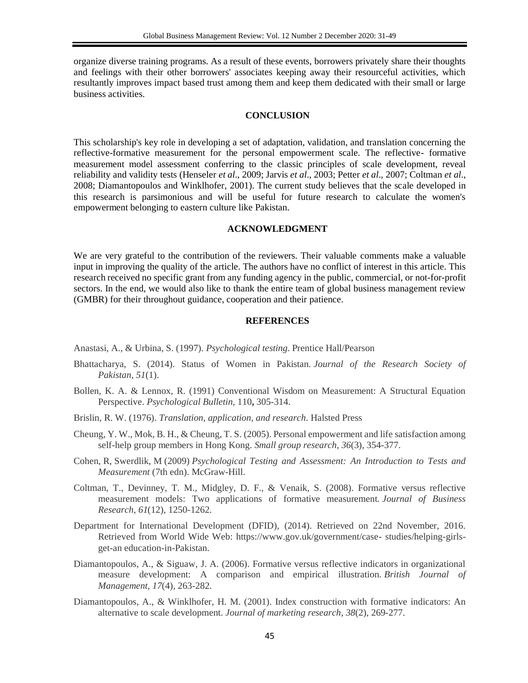organize diverse training programs. As a result of these events, borrowers privately share their thoughts and feelings with their other borrowers' associates keeping away their resourceful activities, which resultantly improves impact based trust among them and keep them dedicated with their small or large business activities.

#### **CONCLUSION**

This scholarship's key role in developing a set of adaptation, validation, and translation concerning the reflective-formative measurement for the personal empowerment scale. The reflective- formative measurement model assessment conferring to the classic principles of scale development, reveal reliability and validity tests (Henseler *et al*., 2009; Jarvis *et al*., 2003; Petter *et al*., 2007; Coltman *et al*., 2008; Diamantopoulos and Winklhofer, 2001). The current study believes that the scale developed in this research is parsimonious and will be useful for future research to calculate the women's empowerment belonging to eastern culture like Pakistan.

#### **ACKNOWLEDGMENT**

We are very grateful to the contribution of the reviewers. Their valuable comments make a valuable input in improving the quality of the article. The authors have no conflict of interest in this article. This research received no specific grant from any funding agency in the public, commercial, or not-for-profit sectors. In the end, we would also like to thank the entire team of global business management review (GMBR) for their throughout guidance, cooperation and their patience.

#### **REFERENCES**

Anastasi, A., & Urbina, S. (1997). *Psychological testing*. Prentice Hall/Pearson

- Bhattacharya, S. (2014). Status of Women in Pakistan. *Journal of the Research Society of Pakistan*, *51*(1).
- Bollen, K. A. & Lennox, R. (1991) Conventional Wisdom on Measurement: A Structural Equation Perspective. *Psychological Bulletin,* 110**,** 305-314.
- Brislin, R. W. (1976). *Translation, application, and research*. Halsted Press
- Cheung, Y. W., Mok, B. H., & Cheung, T. S. (2005). Personal empowerment and life satisfaction among self-help group members in Hong Kong. *Small group research*, *36*(3), 354-377.
- Cohen, R, Swerdlik, M (2009) *Psychological Testing and Assessment: An Introduction to Tests and Measurement* (7th edn). McGraw-Hill.
- Coltman, T., Devinney, T. M., Midgley, D. F., & Venaik, S. (2008). Formative versus reflective measurement models: Two applications of formative measurement. *Journal of Business Research*, *61*(12), 1250-1262.
- Department for International Development (DFID), (2014). Retrieved on 22nd November, 2016. Retrieved from World Wide Web: https://www.gov.uk/government/case- studies/helping-girlsget-an education-in-Pakistan.
- Diamantopoulos, A., & Siguaw, J. A. (2006). Formative versus reflective indicators in organizational measure development: A comparison and empirical illustration. *British Journal of Management*, *17*(4), 263-282.
- Diamantopoulos, A., & Winklhofer, H. M. (2001). Index construction with formative indicators: An alternative to scale development. *Journal of marketing research*, *38*(2), 269-277.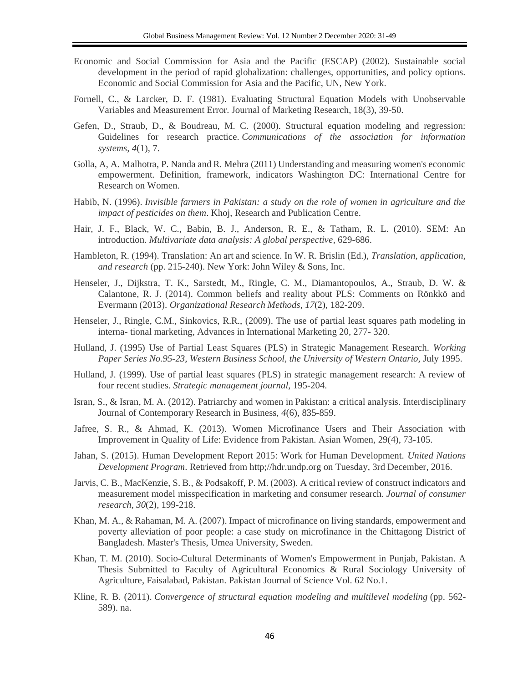- Economic and Social Commission for Asia and the Pacific (ESCAP) (2002). Sustainable social development in the period of rapid globalization: challenges, opportunities, and policy options. Economic and Social Commission for Asia and the Pacific, UN, New York.
- Fornell, C., & Larcker, D. F. (1981). Evaluating Structural Equation Models with Unobservable Variables and Measurement Error. Journal of Marketing Research, 18(3), 39-50.
- Gefen, D., Straub, D., & Boudreau, M. C. (2000). Structural equation modeling and regression: Guidelines for research practice. *Communications of the association for information systems*, *4*(1), 7.
- Golla, A, A. Malhotra, P. Nanda and R. Mehra (2011) Understanding and measuring women's economic empowerment. Definition, framework, indicators Washington DC: International Centre for Research on Women.
- Habib, N. (1996). *Invisible farmers in Pakistan: a study on the role of women in agriculture and the impact of pesticides on them*. Khoj, Research and Publication Centre.
- Hair, J. F., Black, W. C., Babin, B. J., Anderson, R. E., & Tatham, R. L. (2010). SEM: An introduction. *Multivariate data analysis: A global perspective*, 629-686.
- Hambleton, R. (1994). Translation: An art and science. In W. R. Brislin (Ed.), *Translation, application, and research* (pp. 215-240). New York: John Wiley & Sons, Inc.
- Henseler, J., Dijkstra, T. K., Sarstedt, M., Ringle, C. M., Diamantopoulos, A., Straub, D. W. & Calantone, R. J. (2014). Common beliefs and reality about PLS: Comments on Rönkkö and Evermann (2013). *Organizational Research Methods*, *17*(2), 182-209.
- Henseler, J., Ringle, C.M., Sinkovics, R.R., (2009). The use of partial least squares path modeling in interna- tional marketing, Advances in International Marketing 20, 277- 320.
- Hulland, J. (1995) Use of Partial Least Squares (PLS) in Strategic Management Research. *Working*  Paper Series No.95-23, Western Business School, the University of Western Ontario, July 1995.
- Hulland, J. (1999). Use of partial least squares (PLS) in strategic management research: A review of four recent studies. *Strategic management journal*, 195-204.
- Isran, S., & Isran, M. A. (2012). Patriarchy and women in Pakistan: a critical analysis. Interdisciplinary Journal of Contemporary Research in Business, *4*(6), 835-859.
- Jafree, S. R., & Ahmad, K. (2013). Women Microfinance Users and Their Association with Improvement in Quality of Life: Evidence from Pakistan. Asian Women, 29(4), 73-105.
- Jahan, S. (2015). Human Development Report 2015: Work for Human Development. *United Nations Development Program*. Retrieved from http;//hdr.undp.org on Tuesday, 3rd December, 2016.
- Jarvis, C. B., MacKenzie, S. B., & Podsakoff, P. M. (2003). A critical review of construct indicators and measurement model misspecification in marketing and consumer research. *Journal of consumer research*, *30*(2), 199-218.
- Khan, M. A., & Rahaman, M. A. (2007). Impact of microfinance on living standards, empowerment and poverty alleviation of poor people: a case study on microfinance in the Chittagong District of Bangladesh. Master's Thesis, Umea University, Sweden.
- Khan, T. M. (2010). Socio-Cultural Determinants of Women's Empowerment in Punjab, Pakistan. A Thesis Submitted to Faculty of Agricultural Economics & Rural Sociology University of Agriculture, Faisalabad, Pakistan. Pakistan Journal of Science Vol. 62 No.1.
- Kline, R. B. (2011). *Convergence of structural equation modeling and multilevel modeling* (pp. 562- 589). na.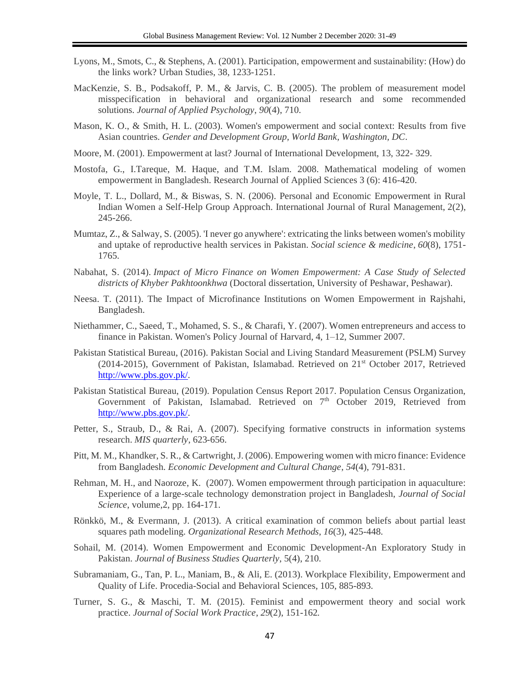- Lyons, M., Smots, C., & Stephens, A. (2001). Participation, empowerment and sustainability: (How) do the links work? Urban Studies, 38, 1233-1251.
- MacKenzie, S. B., Podsakoff, P. M., & Jarvis, C. B. (2005). The problem of measurement model misspecification in behavioral and organizational research and some recommended solutions. *Journal of Applied Psychology*, *90*(4), 710.
- Mason, K. O., & Smith, H. L. (2003). Women's empowerment and social context: Results from five Asian countries. *Gender and Development Group, World Bank, Washington, DC*.
- Moore, M. (2001). Empowerment at last? Journal of International Development, 13, 322- 329.
- Mostofa, G., I.Tareque, M. Haque, and T.M. Islam. 2008. Mathematical modeling of women empowerment in Bangladesh. Research Journal of Applied Sciences 3 (6): 416-420.
- Moyle, T. L., Dollard, M., & Biswas, S. N. (2006). Personal and Economic Empowerment in Rural Indian Women a Self-Help Group Approach. International Journal of Rural Management, 2(2), 245-266.
- Mumtaz, Z., & Salway, S. (2005). 'I never go anywhere': extricating the links between women's mobility and uptake of reproductive health services in Pakistan. *Social science & medicine*, *60*(8), 1751- 1765.
- Nabahat, S. (2014). *Impact of Micro Finance on Women Empowerment: A Case Study of Selected districts of Khyber Pakhtoonkhwa* (Doctoral dissertation, University of Peshawar, Peshawar).
- Neesa. T. (2011). The Impact of Microfinance Institutions on Women Empowerment in Rajshahi, Bangladesh.
- Niethammer, C., Saeed, T., Mohamed, S. S., & Charafi, Y. (2007). Women entrepreneurs and access to finance in Pakistan. Women's Policy Journal of Harvard, 4, 1–12, Summer 2007.
- Pakistan Statistical Bureau, (2016). Pakistan Social and Living Standard Measurement (PSLM) Survey  $(2014-2015)$ , Government of Pakistan, Islamabad. Retrieved on  $21<sup>st</sup>$  October 2017, Retrieved [http://www.pbs.gov.pk/.](http://www.pbs.gov.pk/)
- Pakistan Statistical Bureau, (2019). Population Census Report 2017. Population Census Organization, Government of Pakistan, Islamabad. Retrieved on 7<sup>th</sup> October 2019, Retrieved from [http://www.pbs.gov.pk/.](http://www.pbs.gov.pk/)
- Petter, S., Straub, D., & Rai, A. (2007). Specifying formative constructs in information systems research. *MIS quarterly*, 623-656.
- Pitt, M. M., Khandker, S. R., & Cartwright, J. (2006). Empowering women with micro finance: Evidence from Bangladesh. *Economic Development and Cultural Change*, *54*(4), 791-831.
- Rehman, M. H., and Naoroze, K. (2007). Women empowerment through participation in aquaculture: Experience of a large-scale technology demonstration project in Bangladesh, *Journal of Social Science*, volume,2, pp. 164-171.
- Rönkkö, M., & Evermann, J. (2013). A critical examination of common beliefs about partial least squares path modeling. *Organizational Research Methods*, *16*(3), 425-448.
- Sohail, M. (2014). Women Empowerment and Economic Development-An Exploratory Study in Pakistan. *Journal of Business Studies Quarterly*, 5(4), 210.
- Subramaniam, G., Tan, P. L., Maniam, B., & Ali, E. (2013). Workplace Flexibility, Empowerment and Quality of Life. Procedia-Social and Behavioral Sciences, 105, 885-893.
- Turner, S. G., & Maschi, T. M. (2015). Feminist and empowerment theory and social work practice. *Journal of Social Work Practice*, *29*(2), 151-162.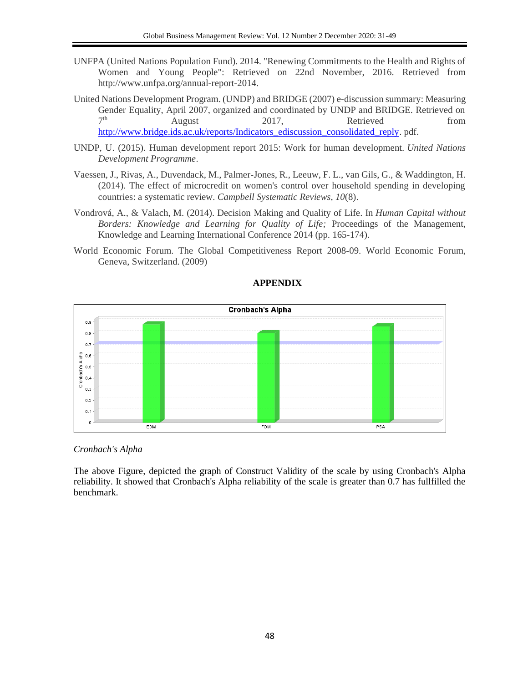- UNFPA (United Nations Population Fund). 2014. "Renewing Commitments to the Health and Rights of Women and Young People": Retrieved on 22nd November, 2016. Retrieved from http://www.unfpa.org/annual-report-2014.
- United Nations Development Program. (UNDP) and BRIDGE (2007) e-discussion summary: Measuring Gender Equality, April 2007, organized and coordinated by UNDP and BRIDGE. Retrieved on  $7<sup>th</sup>$ th August 2017, Retrieved from [http://www.bridge.ids.ac.uk/reports/Indicators\\_ediscussion\\_consolidated\\_reply.](http://www.bridge.ids.ac.uk/reports/Indicators_ediscussion_consolidated_reply) pdf.
- UNDP, U. (2015). Human development report 2015: Work for human development. *United Nations Development Programme*.
- Vaessen, J., Rivas, A., Duvendack, M., Palmer-Jones, R., Leeuw, F. L., van Gils, G., & Waddington, H. (2014). The effect of microcredit on women's control over household spending in developing countries: a systematic review. *Campbell Systematic Reviews*, *10*(8).
- Vondrová, A., & Valach, M. (2014). Decision Making and Quality of Life. In *Human Capital without Borders: Knowledge and Learning for Quality of Life;* Proceedings of the Management, Knowledge and Learning International Conference 2014 (pp. 165-174).
- World Economic Forum. The Global Competitiveness Report 2008-09. World Economic Forum, Geneva, Switzerland. (2009)



# **APPENDIX**

*Cronbach's Alpha*

The above Figure, depicted the graph of Construct Validity of the scale by using Cronbach's Alpha reliability. It showed that Cronbach's Alpha reliability of the scale is greater than 0.7 has fullfilled the benchmark.